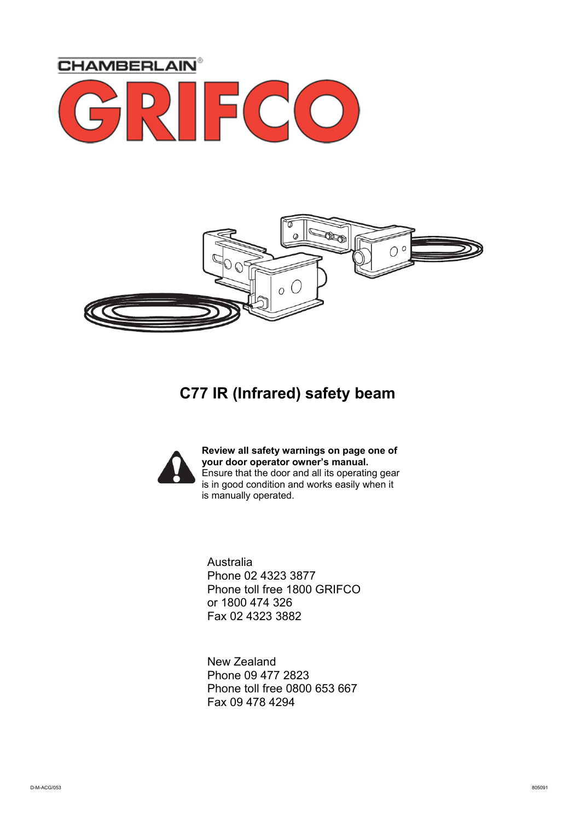



### **C77 IR (Infrared) safety beam**



**Review all safety warnings on page one of your door operator owner's manual.**  Ensure that the door and all its operating gear is in good condition and works easily when it is manually operated.

Australia Phone 02 4323 3877 Phone toll free 1800 GRIFCO or 1800 474 326 Fax 02 4323 3882

New Zealand Phone 09 477 2823 Phone toll free 0800 653 667 Fax 09 478 4294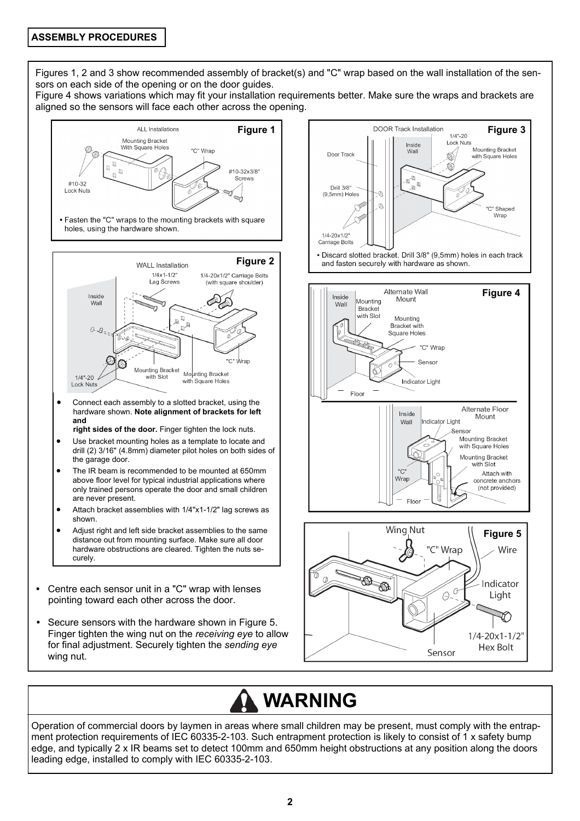Figures 1, 2 and 3 show recommended assembly of bracket(s) and "C" wrap based on the wall installation of the sensors on each side of the opening or on the door guides.

Figure 4 shows variations which may fit your installation requirements better. Make sure the wraps and brackets are aligned so the sensors will face each other across the opening.



# **WARNING**

Operation of commercial doors by laymen in areas where small children may be present, must comply with the entrapment protection requirements of IEC 60335-2-103. Such entrapment protection is likely to consist of 1 x safety bump edge, and typically 2 x IR beams set to detect 100mm and 650mm height obstructions at any position along the doors leading edge, installed to comply with IEC 60335-2-103.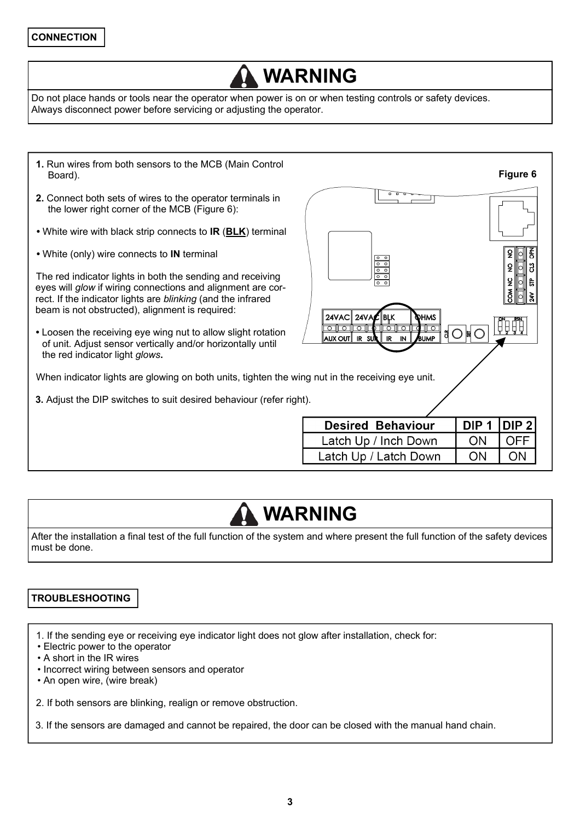# **WARNING**

Do not place hands or tools near the operator when power is on or when testing controls or safety devices. Always disconnect power before servicing or adjusting the operator.

**1.** Run wires from both sensors to the MCB (Main Control **Figure 6**  Board). **2.** Connect both sets of wires to the operator terminals in the lower right corner of the MCB (Figure 6): **•** White wire with black strip connects to **IR** (**BLK**) terminal  $\overline{2}$ 좀 **•** White (only) wire connects to **IN** terminal 3  $\overline{2}$ The red indicator lights in both the sending and receiving  $\overline{2}$  $\frac{1}{5}$ eyes will *glow* if wiring connections and alignment are cor- $\tilde{\mathbf{x}}$ rect. If the indicator lights are *blinking* (and the infrared beam is not obstructed), alignment is required: 24VAC 24VA ∶∥brk **DHMS** 19999 <u>ro (lo (lo (l</u>  $\overline{\mathbb{T}^\circ}$ ਨੋਿπਨ  $\bigcirc$   $\bigcirc$   $\bigcirc$ **•** Loosen the receiving eye wing nut to allow slight rotation AUX OUT RSU **IR IN** .<br>BUMP of unit. Adjust sensor vertically and/or horizontally until the red indicator light *glows***.**  When indicator lights are glowing on both units, tighten the wing nut in the receiving eye unit. **3.** Adjust the DIP switches to suit desired behaviour (refer right). **Desired Behaviour** DIP<sub>1</sub> DIP<sub>2</sub> Latch Up / Inch Down ON OFF Latch Up / Latch Down ON ON

### **WARNING**

After the installation a final test of the full function of the system and where present the full function of the safety devices must be done.

### **TROUBLESHOOTING**

1. If the sending eye or receiving eye indicator light does not glow after installation, check for:

- Electric power to the operator
- A short in the IR wires
- Incorrect wiring between sensors and operator
- An open wire, (wire break)

2. If both sensors are blinking, realign or remove obstruction.

3. If the sensors are damaged and cannot be repaired, the door can be closed with the manual hand chain.